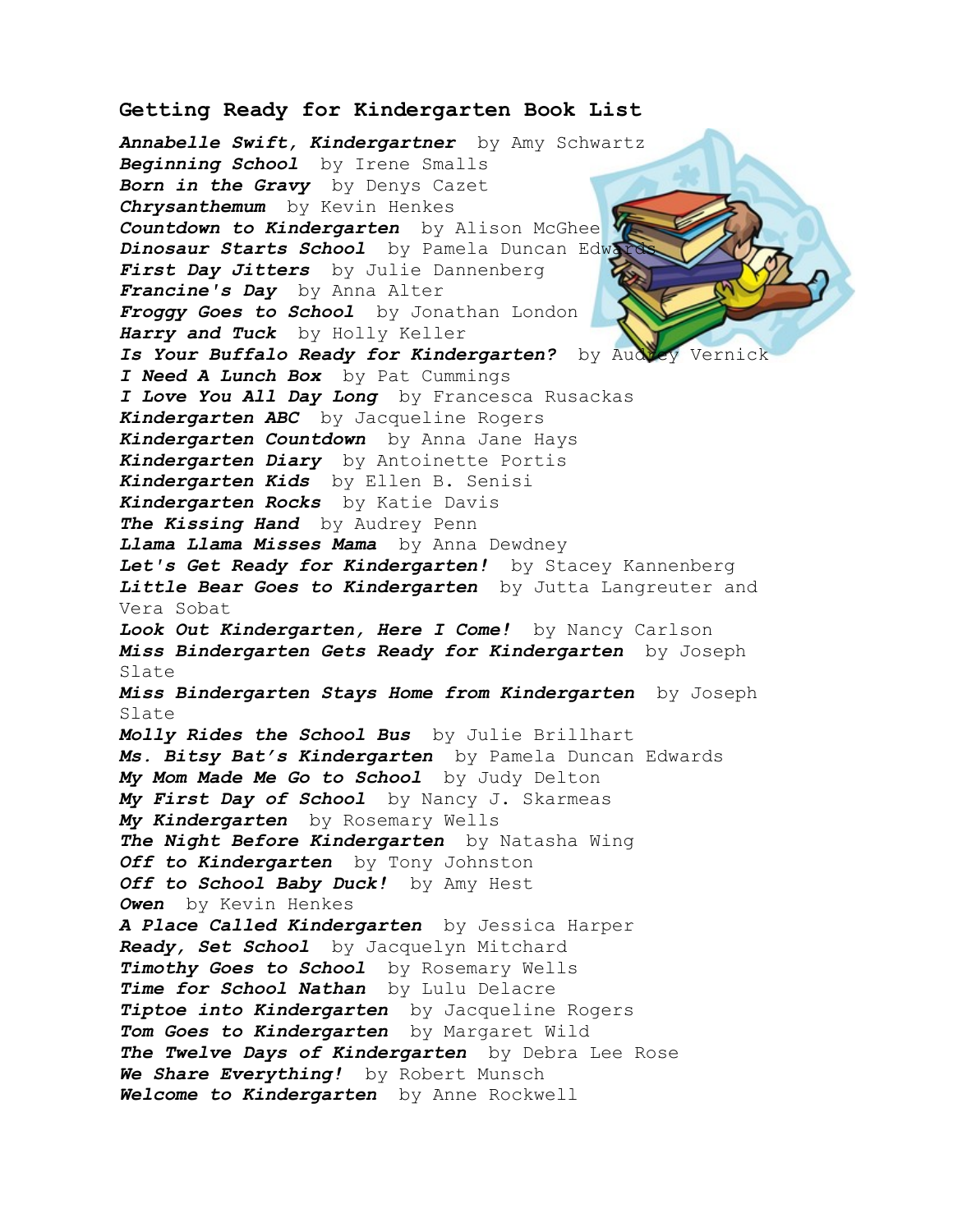## **Getting Ready for Kindergarten Book List**

*Annabelle Swift, Kindergartner* by Amy Schwartz *Beginning School* by Irene Smalls *Born in the Gravy* by Denys Cazet *Chrysanthemum* by Kevin Henkes *Countdown to Kindergarten* by Alison McGhee **Dinosaur Starts School** by Pamela Duncan Edwa *First Day Jitters* by Julie Dannenberg *Francine's Day* by Anna Alter *Froggy Goes to School* by Jonathan London *Harry and Tuck* by Holly Keller *Is Your Buffalo Ready for Kindergarten?* by Audrey Vernick *I Need A Lunch Box* by Pat Cummings *I Love You All Day Long* by Francesca Rusackas *Kindergarten ABC* by Jacqueline Rogers *Kindergarten Countdown* by Anna Jane Hays *Kindergarten Diary* by Antoinette Portis *Kindergarten Kids* by Ellen B. Senisi *Kindergarten Rocks* by Katie Davis *The Kissing Hand* by Audrey Penn *Llama Llama Misses Mama* by Anna Dewdney *Let's Get Ready for Kindergarten!* by Stacey Kannenberg *Little Bear Goes to Kindergarten* by Jutta Langreuter and Vera Sobat *Look Out Kindergarten, Here I Come!* by Nancy Carlson *Miss Bindergarten Gets Ready for Kindergarten* by Joseph Slate *Miss Bindergarten Stays Home from Kindergarten* by Joseph Slate *Molly Rides the School Bus* by Julie Brillhart *Ms. Bitsy Bat's Kindergarten* by Pamela Duncan Edwards *My Mom Made Me Go to School* by Judy Delton *My First Day of School* by Nancy J. Skarmeas *My Kindergarten* by Rosemary Wells *The Night Before Kindergarten* by Natasha Wing *Off to Kindergarten* by Tony Johnston *Off to School Baby Duck!* by Amy Hest *Owen* by Kevin Henkes *A Place Called Kindergarten* by Jessica Harper *Ready, Set School* by Jacquelyn Mitchard *Timothy Goes to School* by Rosemary Wells *Time for School Nathan* by Lulu Delacre *Tiptoe into Kindergarten* by Jacqueline Rogers *Tom Goes to Kindergarten* by Margaret Wild *The Twelve Days of Kindergarten* by Debra Lee Rose *We Share Everything!* by Robert Munsch *Welcome to Kindergarten* by Anne Rockwell